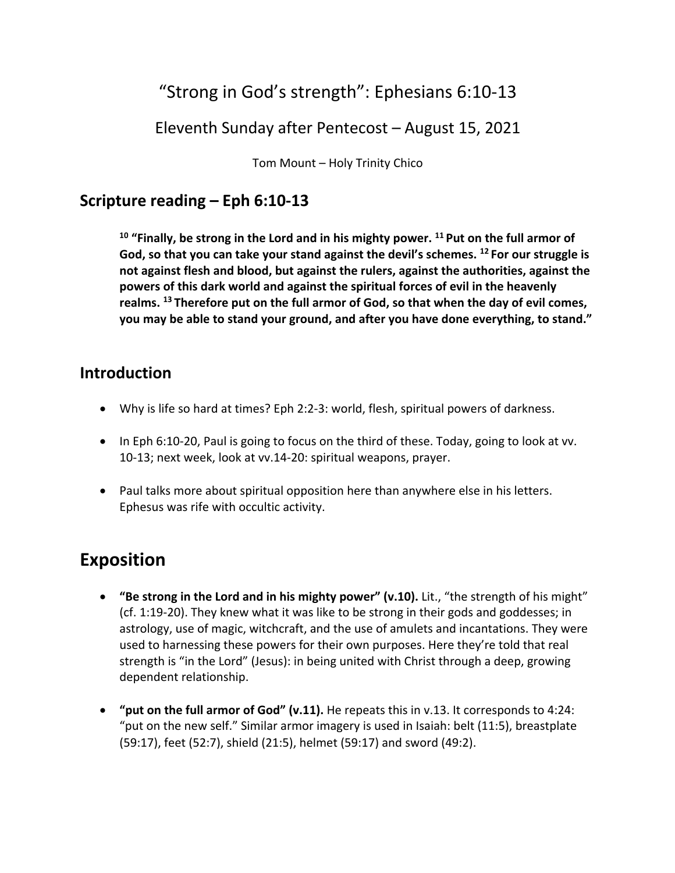# "Strong in God's strength": Ephesians 6:10-13

### Eleventh Sunday after Pentecost – August 15, 2021

Tom Mount – Holy Trinity Chico

### **Scripture reading – Eph 6:10-13**

**<sup>10</sup> "Finally, be strong in the Lord and in his mighty power. 11 Put on the full armor of God, so that you can take your stand against the devil's schemes. 12 For our struggle is not against flesh and blood, but against the rulers, against the authorities, against the powers of this dark world and against the spiritual forces of evil in the heavenly realms. 13 Therefore put on the full armor of God, so that when the day of evil comes, you may be able to stand your ground, and after you have done everything, to stand."**

#### **Introduction**

- Why is life so hard at times? Eph 2:2-3: world, flesh, spiritual powers of darkness.
- In Eph 6:10-20, Paul is going to focus on the third of these. Today, going to look at vv. 10-13; next week, look at vv.14-20: spiritual weapons, prayer.
- Paul talks more about spiritual opposition here than anywhere else in his letters. Ephesus was rife with occultic activity.

## **Exposition**

- **"Be strong in the Lord and in his mighty power" (v.10).** Lit., "the strength of his might" (cf. 1:19-20). They knew what it was like to be strong in their gods and goddesses; in astrology, use of magic, witchcraft, and the use of amulets and incantations. They were used to harnessing these powers for their own purposes. Here they're told that real strength is "in the Lord" (Jesus): in being united with Christ through a deep, growing dependent relationship.
- **"put on the full armor of God" (v.11).** He repeats this in v.13. It corresponds to 4:24: "put on the new self." Similar armor imagery is used in Isaiah: belt (11:5), breastplate (59:17), feet (52:7), shield (21:5), helmet (59:17) and sword (49:2).